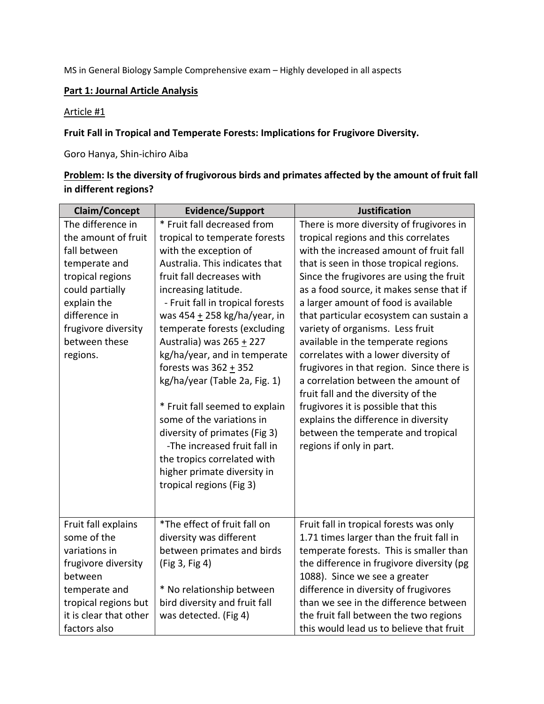MS in General Biology Sample Comprehensive exam – Highly developed in all aspects

## **Part 1: Journal Article Analysis**

#### Article #1

### **Fruit Fall in Tropical and Temperate Forests: Implications for Frugivore Diversity.**

Goro Hanya, Shin-ichiro Aiba

# **Problem: Is the diversity of frugivorous birds and primates affected by the amount of fruit fall in different regions?**

| <b>Claim/Concept</b>   | <b>Evidence/Support</b>          | <b>Justification</b>                      |
|------------------------|----------------------------------|-------------------------------------------|
| The difference in      | * Fruit fall decreased from      | There is more diversity of frugivores in  |
| the amount of fruit    | tropical to temperate forests    | tropical regions and this correlates      |
| fall between           | with the exception of            | with the increased amount of fruit fall   |
| temperate and          | Australia. This indicates that   | that is seen in those tropical regions.   |
| tropical regions       | fruit fall decreases with        | Since the frugivores are using the fruit  |
| could partially        | increasing latitude.             | as a food source, it makes sense that if  |
| explain the            | - Fruit fall in tropical forests | a larger amount of food is available      |
| difference in          | was 454 $\pm$ 258 kg/ha/year, in | that particular ecosystem can sustain a   |
| frugivore diversity    | temperate forests (excluding     | variety of organisms. Less fruit          |
| between these          | Australia) was 265 + 227         | available in the temperate regions        |
| regions.               | kg/ha/year, and in temperate     | correlates with a lower diversity of      |
|                        | forests was $362 + 352$          | frugivores in that region. Since there is |
|                        | kg/ha/year (Table 2a, Fig. 1)    | a correlation between the amount of       |
|                        |                                  | fruit fall and the diversity of the       |
|                        | * Fruit fall seemed to explain   | frugivores it is possible that this       |
|                        | some of the variations in        | explains the difference in diversity      |
|                        | diversity of primates (Fig 3)    | between the temperate and tropical        |
|                        | -The increased fruit fall in     | regions if only in part.                  |
|                        | the tropics correlated with      |                                           |
|                        | higher primate diversity in      |                                           |
|                        | tropical regions (Fig 3)         |                                           |
|                        |                                  |                                           |
| Fruit fall explains    | *The effect of fruit fall on     | Fruit fall in tropical forests was only   |
| some of the            | diversity was different          | 1.71 times larger than the fruit fall in  |
| variations in          | between primates and birds       | temperate forests. This is smaller than   |
| frugivore diversity    | (Fig 3, Fig 4)                   | the difference in frugivore diversity (pg |
| between                |                                  | 1088). Since we see a greater             |
| temperate and          | * No relationship between        | difference in diversity of frugivores     |
| tropical regions but   | bird diversity and fruit fall    | than we see in the difference between     |
| it is clear that other | was detected. (Fig 4)            | the fruit fall between the two regions    |
| factors also           |                                  | this would lead us to believe that fruit  |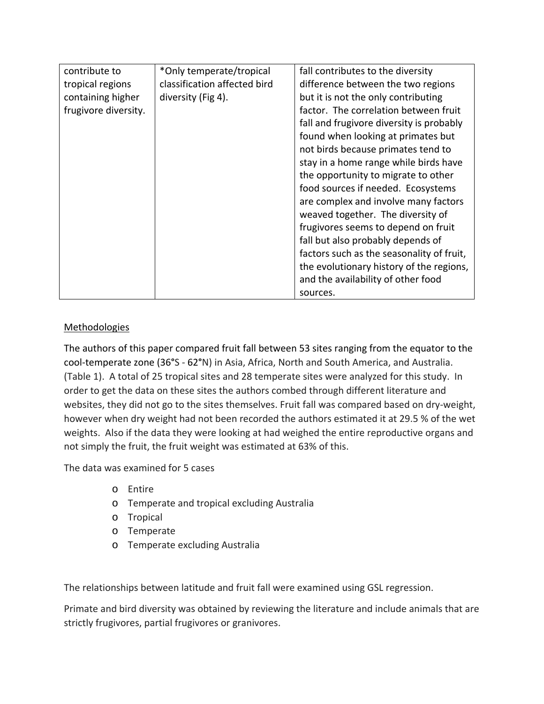| contribute to        | *Only temperate/tropical     | fall contributes to the diversity         |
|----------------------|------------------------------|-------------------------------------------|
| tropical regions     | classification affected bird | difference between the two regions        |
| containing higher    | diversity (Fig 4).           | but it is not the only contributing       |
| frugivore diversity. |                              | factor. The correlation between fruit     |
|                      |                              | fall and frugivore diversity is probably  |
|                      |                              | found when looking at primates but        |
|                      |                              | not birds because primates tend to        |
|                      |                              | stay in a home range while birds have     |
|                      |                              | the opportunity to migrate to other       |
|                      |                              | food sources if needed. Ecosystems        |
|                      |                              | are complex and involve many factors      |
|                      |                              | weaved together. The diversity of         |
|                      |                              | frugivores seems to depend on fruit       |
|                      |                              | fall but also probably depends of         |
|                      |                              | factors such as the seasonality of fruit, |
|                      |                              | the evolutionary history of the regions,  |
|                      |                              | and the availability of other food        |
|                      |                              | sources.                                  |

## Methodologies

The authors of this paper compared fruit fall between 53 sites ranging from the equator to the cool-temperate zone (36**°**S - 62**°**N) in Asia, Africa, North and South America, and Australia. (Table 1). A total of 25 tropical sites and 28 temperate sites were analyzed for this study. In order to get the data on these sites the authors combed through different literature and websites, they did not go to the sites themselves. Fruit fall was compared based on dry-weight, however when dry weight had not been recorded the authors estimated it at 29.5 % of the wet weights. Also if the data they were looking at had weighed the entire reproductive organs and not simply the fruit, the fruit weight was estimated at 63% of this.

The data was examined for 5 cases

- o Entire
- o Temperate and tropical excluding Australia
- o Tropical
- o Temperate
- o Temperate excluding Australia

The relationships between latitude and fruit fall were examined using GSL regression.

Primate and bird diversity was obtained by reviewing the literature and include animals that are strictly frugivores, partial frugivores or granivores.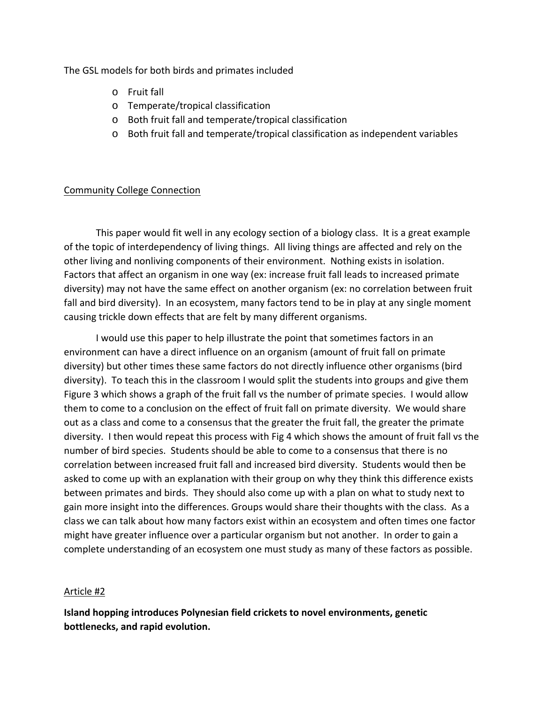The GSL models for both birds and primates included

- o Fruit fall
- o Temperate/tropical classification
- o Both fruit fall and temperate/tropical classification
- o Both fruit fall and temperate/tropical classification as independent variables

### Community College Connection

This paper would fit well in any ecology section of a biology class. It is a great example of the topic of interdependency of living things. All living things are affected and rely on the other living and nonliving components of their environment. Nothing exists in isolation. Factors that affect an organism in one way (ex: increase fruit fall leads to increased primate diversity) may not have the same effect on another organism (ex: no correlation between fruit fall and bird diversity). In an ecosystem, many factors tend to be in play at any single moment causing trickle down effects that are felt by many different organisms.

I would use this paper to help illustrate the point that sometimes factors in an environment can have a direct influence on an organism (amount of fruit fall on primate diversity) but other times these same factors do not directly influence other organisms (bird diversity). To teach this in the classroom I would split the students into groups and give them Figure 3 which shows a graph of the fruit fall vs the number of primate species. I would allow them to come to a conclusion on the effect of fruit fall on primate diversity. We would share out as a class and come to a consensus that the greater the fruit fall, the greater the primate diversity. I then would repeat this process with Fig 4 which shows the amount of fruit fall vs the number of bird species. Students should be able to come to a consensus that there is no correlation between increased fruit fall and increased bird diversity. Students would then be asked to come up with an explanation with their group on why they think this difference exists between primates and birds. They should also come up with a plan on what to study next to gain more insight into the differences. Groups would share their thoughts with the class. As a class we can talk about how many factors exist within an ecosystem and often times one factor might have greater influence over a particular organism but not another. In order to gain a complete understanding of an ecosystem one must study as many of these factors as possible.

### Article #2

**Island hopping introduces Polynesian field crickets to novel environments, genetic bottlenecks, and rapid evolution.**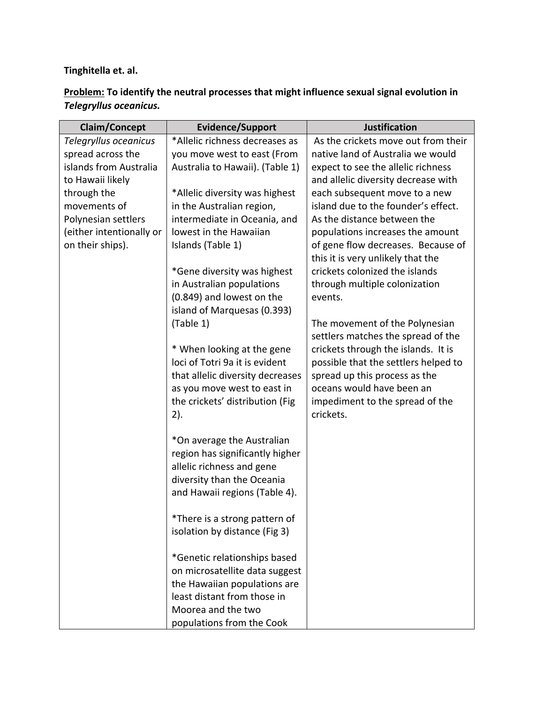# **Tinghitella et. al.**

# **Problem: To identify the neutral processes that might influence sexual signal evolution in**  *Telegryllus oceanicus.*

| <b>Claim/Concept</b>     | <b>Evidence/Support</b>          | <b>Justification</b>                 |
|--------------------------|----------------------------------|--------------------------------------|
| Telegryllus oceanicus    | *Allelic richness decreases as   | As the crickets move out from their  |
| spread across the        | you move west to east (From      | native land of Australia we would    |
| islands from Australia   | Australia to Hawaii). (Table 1)  | expect to see the allelic richness   |
| to Hawaii likely         |                                  | and allelic diversity decrease with  |
| through the              | *Allelic diversity was highest   | each subsequent move to a new        |
| movements of             | in the Australian region,        | island due to the founder's effect.  |
| Polynesian settlers      | intermediate in Oceania, and     | As the distance between the          |
| (either intentionally or | lowest in the Hawaiian           | populations increases the amount     |
| on their ships).         | Islands (Table 1)                | of gene flow decreases. Because of   |
|                          |                                  | this it is very unlikely that the    |
|                          | *Gene diversity was highest      | crickets colonized the islands       |
|                          | in Australian populations        | through multiple colonization        |
|                          | (0.849) and lowest on the        | events.                              |
|                          | island of Marquesas (0.393)      |                                      |
|                          | (Table 1)                        | The movement of the Polynesian       |
|                          |                                  | settlers matches the spread of the   |
|                          | * When looking at the gene       | crickets through the islands. It is  |
|                          | loci of Totri 9a it is evident   | possible that the settlers helped to |
|                          | that allelic diversity decreases | spread up this process as the        |
|                          | as you move west to east in      | oceans would have been an            |
|                          | the crickets' distribution (Fig. | impediment to the spread of the      |
|                          | 2).                              | crickets.                            |
|                          |                                  |                                      |
|                          | *On average the Australian       |                                      |
|                          | region has significantly higher  |                                      |
|                          | allelic richness and gene        |                                      |
|                          | diversity than the Oceania       |                                      |
|                          | and Hawaii regions (Table 4).    |                                      |
|                          |                                  |                                      |
|                          | *There is a strong pattern of    |                                      |
|                          | isolation by distance (Fig 3)    |                                      |
|                          |                                  |                                      |
|                          | *Genetic relationships based     |                                      |
|                          | on microsatellite data suggest   |                                      |
|                          | the Hawaiian populations are     |                                      |
|                          | least distant from those in      |                                      |
|                          | Moorea and the two               |                                      |
|                          | populations from the Cook        |                                      |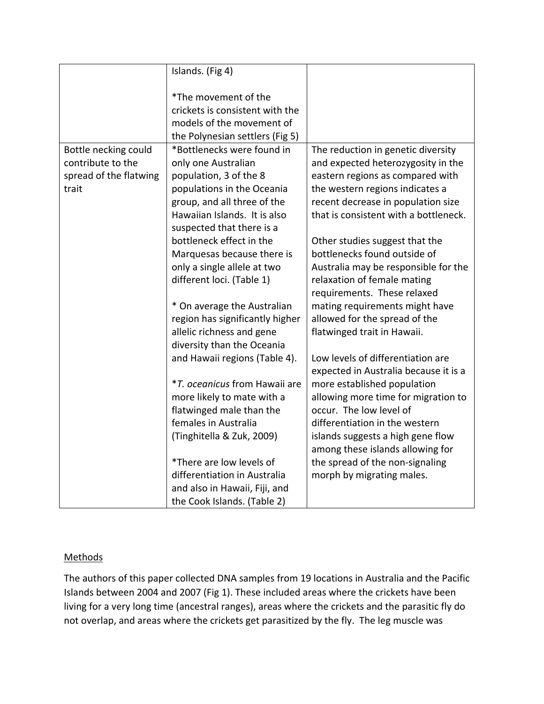|                        | Islands. (Fig 4)                                          |                                                                       |
|------------------------|-----------------------------------------------------------|-----------------------------------------------------------------------|
|                        | *The movement of the                                      |                                                                       |
|                        | crickets is consistent with the                           |                                                                       |
|                        | models of the movement of                                 |                                                                       |
|                        | the Polynesian settlers (Fig 5)                           |                                                                       |
| Bottle necking could   | *Bottlenecks were found in                                | The reduction in genetic diversity                                    |
| contribute to the      | only one Australian                                       | and expected heterozygosity in the                                    |
|                        |                                                           |                                                                       |
| spread of the flatwing | population, 3 of the 8                                    | eastern regions as compared with                                      |
| trait                  | populations in the Oceania                                | the western regions indicates a                                       |
|                        | group, and all three of the                               | recent decrease in population size                                    |
|                        | Hawaiian Islands. It is also<br>suspected that there is a | that is consistent with a bottleneck.                                 |
|                        | bottleneck effect in the                                  | Other studies suggest that the                                        |
|                        | Marquesas because there is                                | bottlenecks found outside of                                          |
|                        | only a single allele at two                               | Australia may be responsible for the                                  |
|                        | different loci. (Table 1)                                 | relaxation of female mating                                           |
|                        |                                                           | requirements. These relaxed                                           |
|                        | * On average the Australian                               | mating requirements might have                                        |
|                        | region has significantly higher                           | allowed for the spread of the                                         |
|                        | allelic richness and gene                                 | flatwinged trait in Hawaii.                                           |
|                        | diversity than the Oceania                                |                                                                       |
|                        | and Hawaii regions (Table 4).                             | Low levels of differentiation are                                     |
|                        |                                                           | expected in Australia because it is a                                 |
|                        | <i>*T. oceanicus</i> from Hawaii are                      | more established population                                           |
|                        | more likely to mate with a                                | allowing more time for migration to                                   |
|                        | flatwinged male than the                                  | occur. The low level of                                               |
|                        | females in Australia                                      | differentiation in the western                                        |
|                        |                                                           |                                                                       |
|                        | (Tinghitella & Zuk, 2009)                                 | islands suggests a high gene flow<br>among these islands allowing for |
|                        | *There are low levels of                                  | the spread of the non-signaling                                       |
|                        | differentiation in Australia                              | morph by migrating males.                                             |
|                        | and also in Hawaii, Fiji, and                             |                                                                       |
|                        | the Cook Islands. (Table 2)                               |                                                                       |
|                        |                                                           |                                                                       |

# **Methods**

The authors of this paper collected DNA samples from 19 locations in Australia and the Pacific Islands between 2004 and 2007 (Fig 1). These included areas where the crickets have been living for a very long time (ancestral ranges), areas where the crickets and the parasitic fly do not overlap, and areas where the crickets get parasitized by the fly. The leg muscle was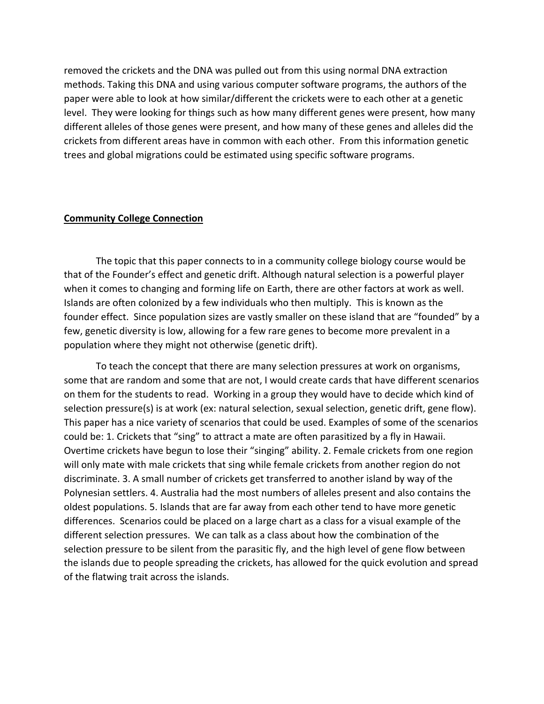removed the crickets and the DNA was pulled out from this using normal DNA extraction methods. Taking this DNA and using various computer software programs, the authors of the paper were able to look at how similar/different the crickets were to each other at a genetic level. They were looking for things such as how many different genes were present, how many different alleles of those genes were present, and how many of these genes and alleles did the crickets from different areas have in common with each other. From this information genetic trees and global migrations could be estimated using specific software programs.

#### **Community College Connection**

The topic that this paper connects to in a community college biology course would be that of the Founder's effect and genetic drift. Although natural selection is a powerful player when it comes to changing and forming life on Earth, there are other factors at work as well. Islands are often colonized by a few individuals who then multiply. This is known as the founder effect. Since population sizes are vastly smaller on these island that are "founded" by a few, genetic diversity is low, allowing for a few rare genes to become more prevalent in a population where they might not otherwise (genetic drift).

To teach the concept that there are many selection pressures at work on organisms, some that are random and some that are not, I would create cards that have different scenarios on them for the students to read. Working in a group they would have to decide which kind of selection pressure(s) is at work (ex: natural selection, sexual selection, genetic drift, gene flow). This paper has a nice variety of scenarios that could be used. Examples of some of the scenarios could be: 1. Crickets that "sing" to attract a mate are often parasitized by a fly in Hawaii. Overtime crickets have begun to lose their "singing" ability. 2. Female crickets from one region will only mate with male crickets that sing while female crickets from another region do not discriminate. 3. A small number of crickets get transferred to another island by way of the Polynesian settlers. 4. Australia had the most numbers of alleles present and also contains the oldest populations. 5. Islands that are far away from each other tend to have more genetic differences. Scenarios could be placed on a large chart as a class for a visual example of the different selection pressures. We can talk as a class about how the combination of the selection pressure to be silent from the parasitic fly, and the high level of gene flow between the islands due to people spreading the crickets, has allowed for the quick evolution and spread of the flatwing trait across the islands.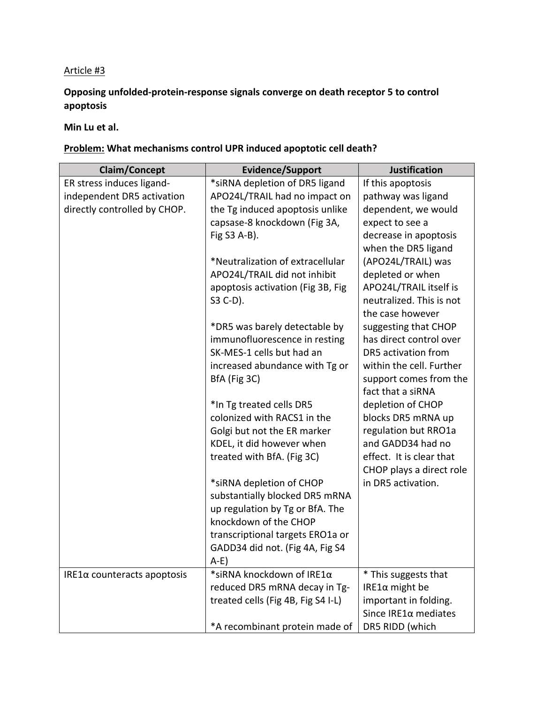## Article #3

# **Opposing unfolded-protein-response signals converge on death receptor 5 to control apoptosis**

**Min Lu et al.**

# **Problem: What mechanisms control UPR induced apoptotic cell death?**

| <b>Claim/Concept</b>           | <b>Evidence/Support</b>            | <b>Justification</b>     |
|--------------------------------|------------------------------------|--------------------------|
| ER stress induces ligand-      | *siRNA depletion of DR5 ligand     | If this apoptosis        |
| independent DR5 activation     | APO24L/TRAIL had no impact on      | pathway was ligand       |
| directly controlled by CHOP.   | the Tg induced apoptosis unlike    | dependent, we would      |
|                                | capsase-8 knockdown (Fig 3A,       | expect to see a          |
|                                | Fig S3 A-B).                       | decrease in apoptosis    |
|                                |                                    | when the DR5 ligand      |
|                                | *Neutralization of extracellular   | (APO24L/TRAIL) was       |
|                                | APO24L/TRAIL did not inhibit       | depleted or when         |
|                                | apoptosis activation (Fig 3B, Fig  | APO24L/TRAIL itself is   |
|                                | S3 C-D).                           | neutralized. This is not |
|                                |                                    | the case however         |
|                                | *DR5 was barely detectable by      | suggesting that CHOP     |
|                                | immunofluorescence in resting      | has direct control over  |
|                                | SK-MES-1 cells but had an          | DR5 activation from      |
|                                | increased abundance with Tg or     | within the cell. Further |
|                                | BfA (Fig 3C)                       | support comes from the   |
|                                |                                    | fact that a siRNA        |
|                                | *In Tg treated cells DR5           | depletion of CHOP        |
|                                | colonized with RACS1 in the        | blocks DR5 mRNA up       |
|                                | Golgi but not the ER marker        | regulation but RRO1a     |
|                                | KDEL, it did however when          | and GADD34 had no        |
|                                | treated with BfA. (Fig 3C)         | effect. It is clear that |
|                                |                                    | CHOP plays a direct role |
|                                | *siRNA depletion of CHOP           | in DR5 activation.       |
|                                | substantially blocked DR5 mRNA     |                          |
|                                | up regulation by Tg or BfA. The    |                          |
|                                | knockdown of the CHOP              |                          |
|                                | transcriptional targets ERO1a or   |                          |
|                                | GADD34 did not. (Fig 4A, Fig S4    |                          |
|                                | A-E)                               |                          |
| IRE1 $α$ counteracts apoptosis | *siRNA knockdown of IRE1α          | * This suggests that     |
|                                | reduced DR5 mRNA decay in Tg-      | IRE1 $\alpha$ might be   |
|                                | treated cells (Fig 4B, Fig S4 I-L) | important in folding.    |
|                                |                                    | Since IRE1α mediates     |
|                                | *A recombinant protein made of     | DR5 RIDD (which          |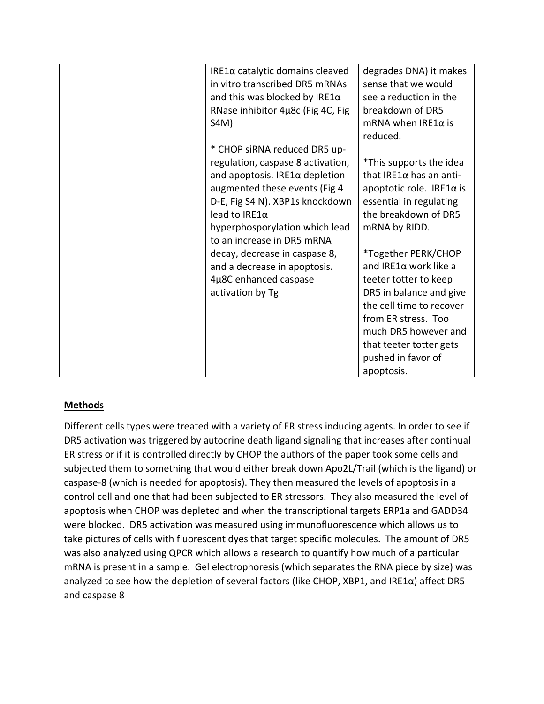| IRE1 $\alpha$ catalytic domains cleaved | degrades DNA) it makes           |
|-----------------------------------------|----------------------------------|
| in vitro transcribed DR5 mRNAs          | sense that we would              |
| and this was blocked by IRE1 $\alpha$   | see a reduction in the           |
| RNase inhibitor 4µ8c (Fig 4C, Fig       | breakdown of DR5                 |
| S4M)                                    | $mRNA$ when IRE1 $\alpha$ is     |
|                                         | reduced.                         |
| * CHOP siRNA reduced DR5 up-            |                                  |
| regulation, caspase 8 activation,       | *This supports the idea          |
| and apoptosis. IRE1 $\alpha$ depletion  | that IRE1 $\alpha$ has an anti-  |
| augmented these events (Fig 4           | apoptotic role. IRE1 $\alpha$ is |
| D-E, Fig S4 N). XBP1s knockdown         | essential in regulating          |
| lead to IRE1 $\alpha$                   | the breakdown of DR5             |
| hyperphosporylation which lead          | mRNA by RIDD.                    |
| to an increase in DR5 mRNA              |                                  |
| decay, decrease in caspase 8,           | *Together PERK/CHOP              |
| and a decrease in apoptosis.            | and IRE1 $\alpha$ work like a    |
| 4µ8C enhanced caspase                   | teeter totter to keep            |
| activation by Tg                        | DR5 in balance and give          |
|                                         | the cell time to recover         |
|                                         | from ER stress. Too              |
|                                         | much DR5 however and             |
|                                         | that teeter totter gets          |
|                                         | pushed in favor of               |
|                                         | apoptosis.                       |

### **Methods**

Different cells types were treated with a variety of ER stress inducing agents. In order to see if DR5 activation was triggered by autocrine death ligand signaling that increases after continual ER stress or if it is controlled directly by CHOP the authors of the paper took some cells and subjected them to something that would either break down Apo2L/Trail (which is the ligand) or caspase-8 (which is needed for apoptosis). They then measured the levels of apoptosis in a control cell and one that had been subjected to ER stressors. They also measured the level of apoptosis when CHOP was depleted and when the transcriptional targets ERP1a and GADD34 were blocked. DR5 activation was measured using immunofluorescence which allows us to take pictures of cells with fluorescent dyes that target specific molecules. The amount of DR5 was also analyzed using QPCR which allows a research to quantify how much of a particular mRNA is present in a sample. Gel electrophoresis (which separates the RNA piece by size) was analyzed to see how the depletion of several factors (like CHOP, XBP1, and IRE1α) affect DR5 and caspase 8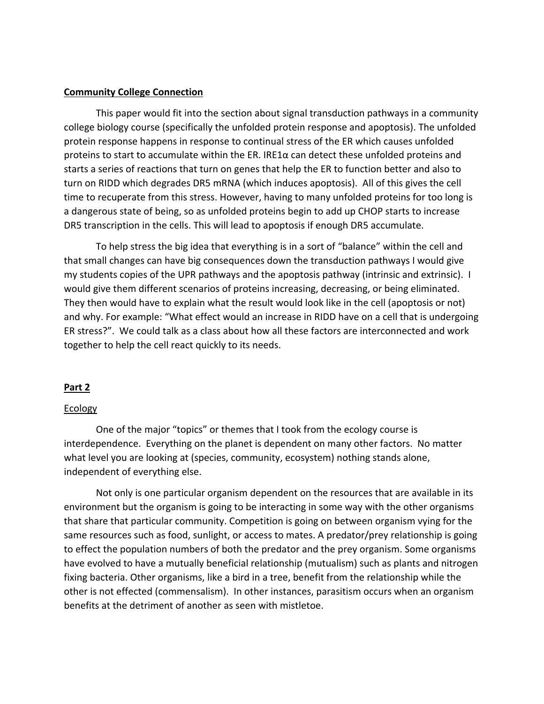#### **Community College Connection**

This paper would fit into the section about signal transduction pathways in a community college biology course (specifically the unfolded protein response and apoptosis). The unfolded protein response happens in response to continual stress of the ER which causes unfolded proteins to start to accumulate within the ER. IRE1 $\alpha$  can detect these unfolded proteins and starts a series of reactions that turn on genes that help the ER to function better and also to turn on RIDD which degrades DR5 mRNA (which induces apoptosis). All of this gives the cell time to recuperate from this stress. However, having to many unfolded proteins for too long is a dangerous state of being, so as unfolded proteins begin to add up CHOP starts to increase DR5 transcription in the cells. This will lead to apoptosis if enough DR5 accumulate.

To help stress the big idea that everything is in a sort of "balance" within the cell and that small changes can have big consequences down the transduction pathways I would give my students copies of the UPR pathways and the apoptosis pathway (intrinsic and extrinsic). I would give them different scenarios of proteins increasing, decreasing, or being eliminated. They then would have to explain what the result would look like in the cell (apoptosis or not) and why. For example: "What effect would an increase in RIDD have on a cell that is undergoing ER stress?". We could talk as a class about how all these factors are interconnected and work together to help the cell react quickly to its needs.

#### **Part 2**

#### Ecology

One of the major "topics" or themes that I took from the ecology course is interdependence. Everything on the planet is dependent on many other factors. No matter what level you are looking at (species, community, ecosystem) nothing stands alone, independent of everything else.

Not only is one particular organism dependent on the resources that are available in its environment but the organism is going to be interacting in some way with the other organisms that share that particular community. Competition is going on between organism vying for the same resources such as food, sunlight, or access to mates. A predator/prey relationship is going to effect the population numbers of both the predator and the prey organism. Some organisms have evolved to have a mutually beneficial relationship (mutualism) such as plants and nitrogen fixing bacteria. Other organisms, like a bird in a tree, benefit from the relationship while the other is not effected (commensalism). In other instances, parasitism occurs when an organism benefits at the detriment of another as seen with mistletoe.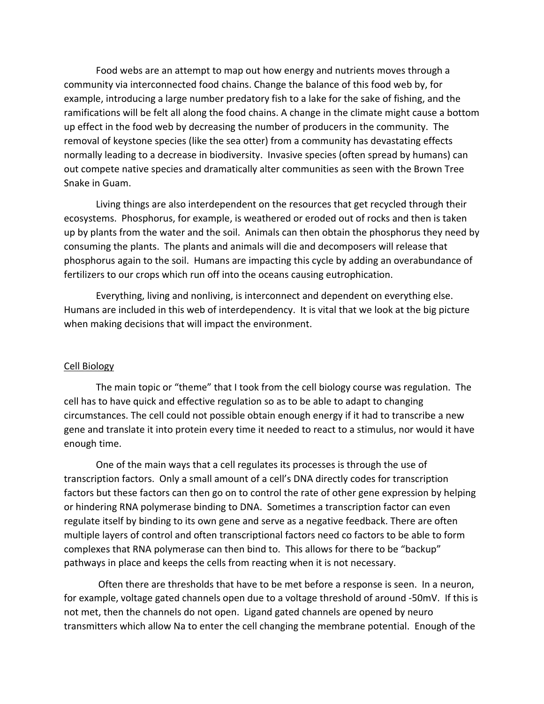Food webs are an attempt to map out how energy and nutrients moves through a community via interconnected food chains. Change the balance of this food web by, for example, introducing a large number predatory fish to a lake for the sake of fishing, and the ramifications will be felt all along the food chains. A change in the climate might cause a bottom up effect in the food web by decreasing the number of producers in the community. The removal of keystone species (like the sea otter) from a community has devastating effects normally leading to a decrease in biodiversity. Invasive species (often spread by humans) can out compete native species and dramatically alter communities as seen with the Brown Tree Snake in Guam.

Living things are also interdependent on the resources that get recycled through their ecosystems. Phosphorus, for example, is weathered or eroded out of rocks and then is taken up by plants from the water and the soil. Animals can then obtain the phosphorus they need by consuming the plants. The plants and animals will die and decomposers will release that phosphorus again to the soil. Humans are impacting this cycle by adding an overabundance of fertilizers to our crops which run off into the oceans causing eutrophication.

Everything, living and nonliving, is interconnect and dependent on everything else. Humans are included in this web of interdependency. It is vital that we look at the big picture when making decisions that will impact the environment.

### Cell Biology

The main topic or "theme" that I took from the cell biology course was regulation. The cell has to have quick and effective regulation so as to be able to adapt to changing circumstances. The cell could not possible obtain enough energy if it had to transcribe a new gene and translate it into protein every time it needed to react to a stimulus, nor would it have enough time.

One of the main ways that a cell regulates its processes is through the use of transcription factors. Only a small amount of a cell's DNA directly codes for transcription factors but these factors can then go on to control the rate of other gene expression by helping or hindering RNA polymerase binding to DNA. Sometimes a transcription factor can even regulate itself by binding to its own gene and serve as a negative feedback. There are often multiple layers of control and often transcriptional factors need co factors to be able to form complexes that RNA polymerase can then bind to. This allows for there to be "backup" pathways in place and keeps the cells from reacting when it is not necessary.

Often there are thresholds that have to be met before a response is seen. In a neuron, for example, voltage gated channels open due to a voltage threshold of around -50mV. If this is not met, then the channels do not open. Ligand gated channels are opened by neuro transmitters which allow Na to enter the cell changing the membrane potential. Enough of the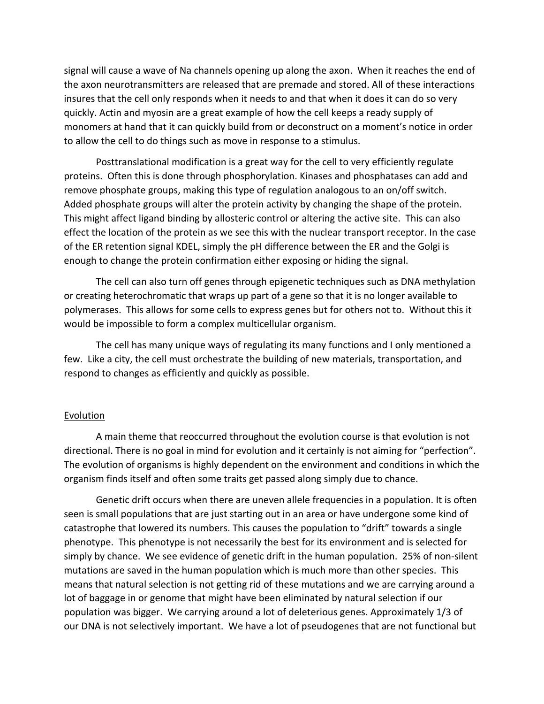signal will cause a wave of Na channels opening up along the axon. When it reaches the end of the axon neurotransmitters are released that are premade and stored. All of these interactions insures that the cell only responds when it needs to and that when it does it can do so very quickly. Actin and myosin are a great example of how the cell keeps a ready supply of monomers at hand that it can quickly build from or deconstruct on a moment's notice in order to allow the cell to do things such as move in response to a stimulus.

Posttranslational modification is a great way for the cell to very efficiently regulate proteins. Often this is done through phosphorylation. Kinases and phosphatases can add and remove phosphate groups, making this type of regulation analogous to an on/off switch. Added phosphate groups will alter the protein activity by changing the shape of the protein. This might affect ligand binding by allosteric control or altering the active site. This can also effect the location of the protein as we see this with the nuclear transport receptor. In the case of the ER retention signal KDEL, simply the pH difference between the ER and the Golgi is enough to change the protein confirmation either exposing or hiding the signal.

The cell can also turn off genes through epigenetic techniques such as DNA methylation or creating heterochromatic that wraps up part of a gene so that it is no longer available to polymerases. This allows for some cells to express genes but for others not to. Without this it would be impossible to form a complex multicellular organism.

The cell has many unique ways of regulating its many functions and I only mentioned a few. Like a city, the cell must orchestrate the building of new materials, transportation, and respond to changes as efficiently and quickly as possible.

### Evolution

A main theme that reoccurred throughout the evolution course is that evolution is not directional. There is no goal in mind for evolution and it certainly is not aiming for "perfection". The evolution of organisms is highly dependent on the environment and conditions in which the organism finds itself and often some traits get passed along simply due to chance.

Genetic drift occurs when there are uneven allele frequencies in a population. It is often seen is small populations that are just starting out in an area or have undergone some kind of catastrophe that lowered its numbers. This causes the population to "drift" towards a single phenotype. This phenotype is not necessarily the best for its environment and is selected for simply by chance. We see evidence of genetic drift in the human population. 25% of non-silent mutations are saved in the human population which is much more than other species. This means that natural selection is not getting rid of these mutations and we are carrying around a lot of baggage in or genome that might have been eliminated by natural selection if our population was bigger. We carrying around a lot of deleterious genes. Approximately 1/3 of our DNA is not selectively important. We have a lot of pseudogenes that are not functional but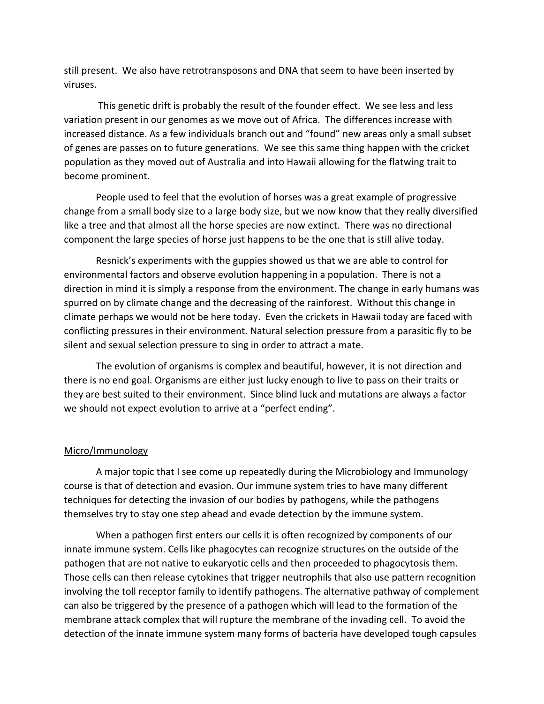still present. We also have retrotransposons and DNA that seem to have been inserted by viruses.

This genetic drift is probably the result of the founder effect. We see less and less variation present in our genomes as we move out of Africa. The differences increase with increased distance. As a few individuals branch out and "found" new areas only a small subset of genes are passes on to future generations. We see this same thing happen with the cricket population as they moved out of Australia and into Hawaii allowing for the flatwing trait to become prominent.

People used to feel that the evolution of horses was a great example of progressive change from a small body size to a large body size, but we now know that they really diversified like a tree and that almost all the horse species are now extinct. There was no directional component the large species of horse just happens to be the one that is still alive today.

Resnick's experiments with the guppies showed us that we are able to control for environmental factors and observe evolution happening in a population. There is not a direction in mind it is simply a response from the environment. The change in early humans was spurred on by climate change and the decreasing of the rainforest. Without this change in climate perhaps we would not be here today. Even the crickets in Hawaii today are faced with conflicting pressures in their environment. Natural selection pressure from a parasitic fly to be silent and sexual selection pressure to sing in order to attract a mate.

The evolution of organisms is complex and beautiful, however, it is not direction and there is no end goal. Organisms are either just lucky enough to live to pass on their traits or they are best suited to their environment. Since blind luck and mutations are always a factor we should not expect evolution to arrive at a "perfect ending".

### Micro/Immunology

A major topic that I see come up repeatedly during the Microbiology and Immunology course is that of detection and evasion. Our immune system tries to have many different techniques for detecting the invasion of our bodies by pathogens, while the pathogens themselves try to stay one step ahead and evade detection by the immune system.

When a pathogen first enters our cells it is often recognized by components of our innate immune system. Cells like phagocytes can recognize structures on the outside of the pathogen that are not native to eukaryotic cells and then proceeded to phagocytosis them. Those cells can then release cytokines that trigger neutrophils that also use pattern recognition involving the toll receptor family to identify pathogens. The alternative pathway of complement can also be triggered by the presence of a pathogen which will lead to the formation of the membrane attack complex that will rupture the membrane of the invading cell. To avoid the detection of the innate immune system many forms of bacteria have developed tough capsules